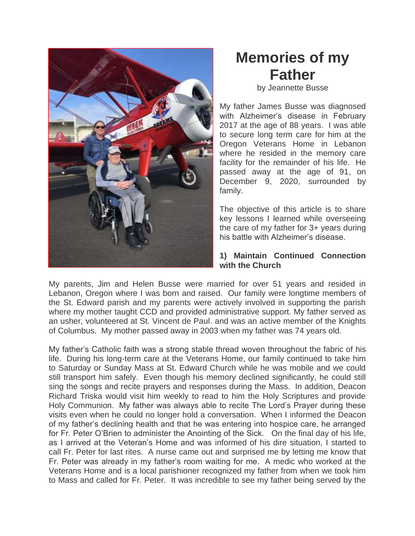

# **Memories of my Father**

by Jeannette Busse

My father James Busse was diagnosed with Alzheimer's disease in February 2017 at the age of 88 years. I was able to secure long term care for him at the Oregon Veterans Home in Lebanon where he resided in the memory care facility for the remainder of his life. He passed away at the age of 91, on December 9, 2020, surrounded by family.

The objective of this article is to share key lessons I learned while overseeing the care of my father for 3+ years during his battle with Alzheimer's disease.

## **1) Maintain Continued Connection with the Church**

My parents, Jim and Helen Busse were married for over 51 years and resided in Lebanon, Oregon where I was born and raised. Our family were longtime members of the St. Edward parish and my parents were actively involved in supporting the parish where my mother taught CCD and provided administrative support. My father served as an usher, volunteered at St. Vincent de Paul. and was an active member of the Knights of Columbus. My mother passed away in 2003 when my father was 74 years old.

My father's Catholic faith was a strong stable thread woven throughout the fabric of his life. During his long-term care at the Veterans Home, our family continued to take him to Saturday or Sunday Mass at St. Edward Church while he was mobile and we could still transport him safely. Even though his memory declined significantly, he could still sing the songs and recite prayers and responses during the Mass. In addition, Deacon Richard Triska would visit him weekly to read to him the Holy Scriptures and provide Holy Communion. My father was always able to recite The Lord's Prayer during these visits even when he could no longer hold a conversation. When I informed the Deacon of my father's declining health and that he was entering into hospice care, he arranged for Fr. Peter O'Brien to administer the Anointing of the Sick. On the final day of his life, as I arrived at the Veteran's Home and was informed of his dire situation, I started to call Fr. Peter for last rites. A nurse came out and surprised me by letting me know that Fr. Peter was already in my father's room waiting for me. A medic who worked at the Veterans Home and is a local parishioner recognized my father from when we took him to Mass and called for Fr. Peter. It was incredible to see my father being served by the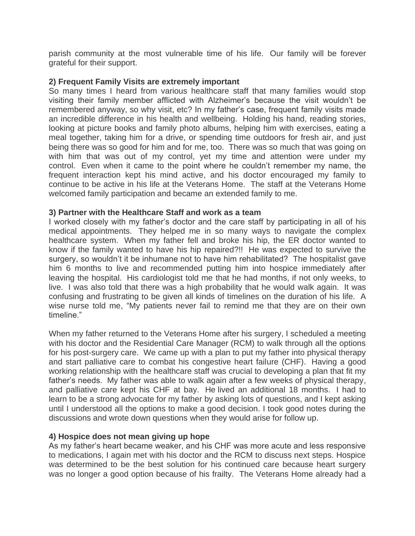parish community at the most vulnerable time of his life. Our family will be forever grateful for their support.

### **2) Frequent Family Visits are extremely important**

So many times I heard from various healthcare staff that many families would stop visiting their family member afflicted with Alzheimer's because the visit wouldn't be remembered anyway, so why visit, etc? In my father's case, frequent family visits made an incredible difference in his health and wellbeing. Holding his hand, reading stories, looking at picture books and family photo albums, helping him with exercises, eating a meal together, taking him for a drive, or spending time outdoors for fresh air, and just being there was so good for him and for me, too. There was so much that was going on with him that was out of my control, yet my time and attention were under my control. Even when it came to the point where he couldn't remember my name, the frequent interaction kept his mind active, and his doctor encouraged my family to continue to be active in his life at the Veterans Home. The staff at the Veterans Home welcomed family participation and became an extended family to me.

#### **3) Partner with the Healthcare Staff and work as a team**

I worked closely with my father's doctor and the care staff by participating in all of his medical appointments. They helped me in so many ways to navigate the complex healthcare system. When my father fell and broke his hip, the ER doctor wanted to know if the family wanted to have his hip repaired?!! He was expected to survive the surgery, so wouldn't it be inhumane not to have him rehabilitated? The hospitalist gave him 6 months to live and recommended putting him into hospice immediately after leaving the hospital. His cardiologist told me that he had months, if not only weeks, to live. I was also told that there was a high probability that he would walk again. It was confusing and frustrating to be given all kinds of timelines on the duration of his life. A wise nurse told me, "My patients never fail to remind me that they are on their own timeline."

When my father returned to the Veterans Home after his surgery, I scheduled a meeting with his doctor and the Residential Care Manager (RCM) to walk through all the options for his post-surgery care. We came up with a plan to put my father into physical therapy and start palliative care to combat his congestive heart failure (CHF). Having a good working relationship with the healthcare staff was crucial to developing a plan that fit my father's needs. My father was able to walk again after a few weeks of physical therapy, and palliative care kept his CHF at bay. He lived an additional 18 months. I had to learn to be a strong advocate for my father by asking lots of questions, and I kept asking until I understood all the options to make a good decision. I took good notes during the discussions and wrote down questions when they would arise for follow up.

#### **4) Hospice does not mean giving up hope**

As my father's heart became weaker, and his CHF was more acute and less responsive to medications, I again met with his doctor and the RCM to discuss next steps. Hospice was determined to be the best solution for his continued care because heart surgery was no longer a good option because of his frailty. The Veterans Home already had a